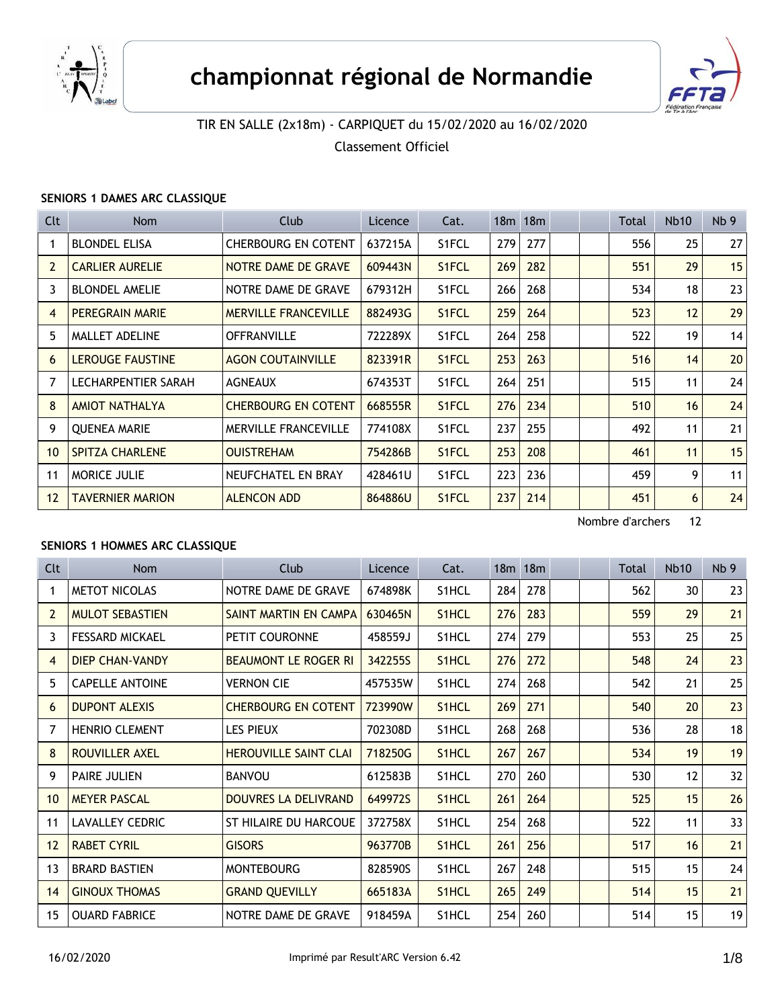



# TIR EN SALLE (2x18m) - CARPIQUET du 15/02/2020 au 16/02/2020

Classement Officiel

### **SENIORS 1 DAMES ARC CLASSIQUE**

| Clt            | Nom                     | Club                        | Licence | Cat.               |     | $18m$ 18 $m$ |  | Total | <b>Nb10</b> | Nb <sub>9</sub> |
|----------------|-------------------------|-----------------------------|---------|--------------------|-----|--------------|--|-------|-------------|-----------------|
|                | <b>BLONDEL ELISA</b>    | CHERBOURG EN COTENT         | 637215A | S1FCL              | 279 | 277          |  | 556   | 25          | 27              |
| $\overline{2}$ | <b>CARLIER AURELIE</b>  | NOTRE DAME DE GRAVE         | 609443N | S1FCL              | 269 | 282          |  | 551   | 29          | 15              |
| 3              | <b>BLONDEL AMELIE</b>   | NOTRE DAME DE GRAVE         | 679312H | S1FCL              | 266 | 268          |  | 534   | 18          | 23              |
| 4              | <b>PEREGRAIN MARIE</b>  | <b>MERVILLE FRANCEVILLE</b> | 882493G | S1FCL              | 259 | 264          |  | 523   | 12          | 29              |
| 5              | <b>MALLET ADELINE</b>   | <b>OFFRANVILLE</b>          | 722289X | S1FCL              | 264 | 258          |  | 522   | 19          | 14              |
| 6              | <b>LEROUGE FAUSTINE</b> | <b>AGON COUTAINVILLE</b>    | 823391R | S <sub>1</sub> FCL | 253 | 263          |  | 516   | 14          | 20              |
| 7              | LECHARPENTIER SARAH     | <b>AGNEAUX</b>              | 674353T | S1FCL              | 264 | 251          |  | 515   | 11          | 24              |
| 8              | <b>AMIOT NATHALYA</b>   | <b>CHERBOURG EN COTENT</b>  | 668555R | S1FCL              | 276 | 234          |  | 510   | 16          | 24              |
| 9              | <b>OUENEA MARIE</b>     | <b>MERVILLE FRANCEVILLE</b> | 774108X | S1FCL              | 237 | 255          |  | 492   | 11          | 21              |
| 10             | <b>SPITZA CHARLENE</b>  | <b>OUISTREHAM</b>           | 754286B | S <sub>1</sub> FCL | 253 | 208          |  | 461   | 11          | 15              |
| 11             | <b>MORICE JULIE</b>     | NEUFCHATEL EN BRAY          | 428461U | S1FCL              | 223 | 236          |  | 459   | 9           | 11              |
| 12             | <b>TAVERNIER MARION</b> | <b>ALENCON ADD</b>          | 864886U | S <sub>1</sub> FCL | 237 | 214          |  | 451   | 6           | 24              |

Nombre d'archers 12

#### **SENIORS 1 HOMMES ARC CLASSIQUE**

| Clt             | Nom                    | Club                         | Licence | Cat.               |     | $18m$ 18 $m$ |  | Total | <b>Nb10</b> | Nb <sub>9</sub> |
|-----------------|------------------------|------------------------------|---------|--------------------|-----|--------------|--|-------|-------------|-----------------|
|                 | <b>METOT NICOLAS</b>   | NOTRE DAME DE GRAVE          | 674898K | S1HCL              | 284 | 278          |  | 562   | 30          | 23              |
| $\overline{2}$  | <b>MULOT SEBASTIEN</b> | SAINT MARTIN EN CAMPA        | 630465N | S <sub>1</sub> HCL | 276 | 283          |  | 559   | 29          | 21              |
| 3               | <b>FESSARD MICKAEL</b> | PETIT COURONNE               | 458559J | S <sub>1</sub> HCL | 274 | 279          |  | 553   | 25          | 25              |
| 4               | <b>DIEP CHAN-VANDY</b> | <b>BEAUMONT LE ROGER RI</b>  | 342255S | S1HCL              | 276 | 272          |  | 548   | 24          | 23              |
| 5               | <b>CAPELLE ANTOINE</b> | <b>VERNON CIE</b>            | 457535W | S <sub>1</sub> HCL | 274 | 268          |  | 542   | 21          | 25              |
| 6               | <b>DUPONT ALEXIS</b>   | <b>CHERBOURG EN COTENT</b>   | 723990W | S <sub>1</sub> HCL | 269 | 271          |  | 540   | 20          | 23              |
| 7               | HENRIO CLEMENT         | <b>LES PIEUX</b>             | 702308D | S1HCL              | 268 | 268          |  | 536   | 28          | 18              |
| 8               | ROUVILLER AXEL         | <b>HEROUVILLE SAINT CLAI</b> | 718250G | S <sub>1</sub> HCL | 267 | 267          |  | 534   | 19          | 19              |
| 9               | PAIRE JULIEN           | <b>BANVOU</b>                | 612583B | S <sub>1</sub> HCL | 270 | 260          |  | 530   | 12          | 32              |
| 10              | <b>MEYER PASCAL</b>    | DOUVRES LA DELIVRAND         | 649972S | S <sub>1</sub> HCL | 261 | 264          |  | 525   | 15          | 26              |
| 11              | <b>LAVALLEY CEDRIC</b> | ST HILAIRE DU HARCOUE        | 372758X | S1HCL              | 254 | 268          |  | 522   | 11          | 33              |
| 12 <sup>2</sup> | <b>RABET CYRIL</b>     | <b>GISORS</b>                | 963770B | S <sub>1</sub> HCL | 261 | 256          |  | 517   | 16          | 21              |
| 13              | <b>BRARD BASTIEN</b>   | <b>MONTEBOURG</b>            | 828590S | S1HCL              | 267 | 248          |  | 515   | 15          | 24              |
| 14              | <b>GINOUX THOMAS</b>   | <b>GRAND QUEVILLY</b>        | 665183A | S <sub>1</sub> HCL | 265 | 249          |  | 514   | 15          | 21              |
| 15              | <b>OUARD FABRICE</b>   | NOTRE DAME DE GRAVE          | 918459A | S1HCL              | 254 | 260          |  | 514   | 15          | 19              |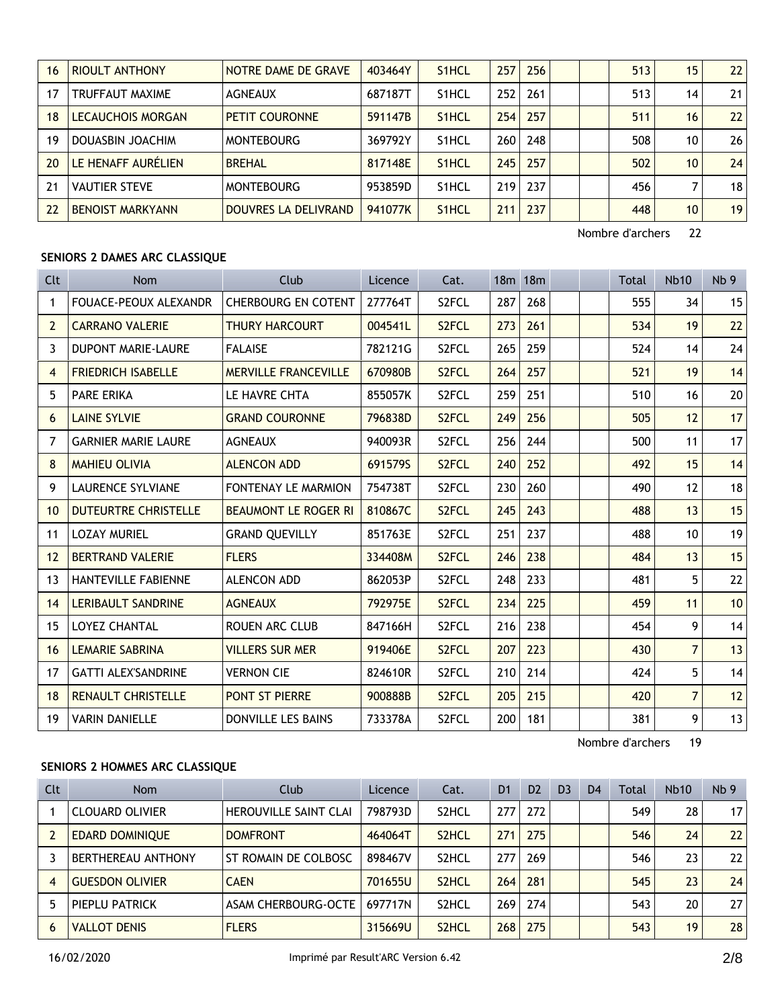| 16 | <b>RIOULT ANTHONY</b>   | NOTRE DAME DE GRAVE   | 403464Y | S <sub>1</sub> HCL | 257 | 256 |  | 513 | 15 | 22              |
|----|-------------------------|-----------------------|---------|--------------------|-----|-----|--|-----|----|-----------------|
| 17 | TRUFFAUT MAXIME         | <b>AGNEAUX</b>        | 687187T | S <sub>1</sub> HCL | 252 | 261 |  | 513 | 14 | 21              |
| 18 | LECAUCHOIS MORGAN       | <b>PETIT COURONNE</b> | 591147B | S <sub>1</sub> HCL | 254 | 257 |  | 511 | 16 | 22              |
| 19 | DOUASBIN JOACHIM        | <b>MONTEBOURG</b>     | 369792Y | S <sub>1</sub> HCL | 260 | 248 |  | 508 | 10 | 26              |
| 20 | LE HENAFF AURÉLIEN      | <b>BREHAL</b>         | 817148E | S <sub>1</sub> HCL | 245 | 257 |  | 502 | 10 | 24              |
| 21 | <b>VAUTIER STEVE</b>    | <b>MONTEBOURG</b>     | 953859D | S <sub>1</sub> HCL | 219 | 237 |  | 456 |    | 18              |
| 22 | <b>BENOIST MARKYANN</b> | DOUVRES LA DELIVRAND  | 941077K | S <sub>1</sub> HCL | 211 | 237 |  | 448 | 10 | 19 <sup>1</sup> |

#### **SENIORS 2 DAMES ARC CLASSIQUE**

| Clt             | <b>Nom</b>                   | Club                        | Licence | Cat.               |     | 18m 18m |  | Total | <b>Nb10</b>    | Nb <sub>9</sub> |
|-----------------|------------------------------|-----------------------------|---------|--------------------|-----|---------|--|-------|----------------|-----------------|
| 1               | <b>FOUACE-PEOUX ALEXANDR</b> | <b>CHERBOURG EN COTENT</b>  | 277764T | S <sub>2</sub> FCL | 287 | 268     |  | 555   | 34             | 15              |
| 2               | <b>CARRANO VALERIE</b>       | <b>THURY HARCOURT</b>       | 004541L | S <sub>2</sub> FCL | 273 | 261     |  | 534   | 19             | 22              |
| 3               | <b>DUPONT MARIE-LAURE</b>    | <b>FALAISE</b>              | 782121G | S <sub>2</sub> FCL | 265 | 259     |  | 524   | 14             | 24              |
| 4               | <b>FRIEDRICH ISABELLE</b>    | <b>MERVILLE FRANCEVILLE</b> | 670980B | S <sub>2</sub> FCL | 264 | 257     |  | 521   | 19             | 14              |
| 5               | <b>PARE ERIKA</b>            | LE HAVRE CHTA               | 855057K | S <sub>2</sub> FCL | 259 | 251     |  | 510   | 16             | 20 <sup>2</sup> |
| 6               | <b>LAINE SYLVIE</b>          | <b>GRAND COURONNE</b>       | 796838D | S <sub>2</sub> FCL | 249 | 256     |  | 505   | 12             | 17              |
| $\overline{7}$  | <b>GARNIER MARIE LAURE</b>   | <b>AGNEAUX</b>              | 940093R | S <sub>2</sub> FCL | 256 | 244     |  | 500   | 11             | 17              |
| 8               | <b>MAHIEU OLIVIA</b>         | <b>ALENCON ADD</b>          | 691579S | S <sub>2</sub> FCL | 240 | 252     |  | 492   | 15             | 14              |
| 9               | <b>LAURENCE SYLVIANE</b>     | <b>FONTENAY LE MARMION</b>  | 754738T | S <sub>2</sub> FCL | 230 | 260     |  | 490   | 12             | 18              |
| 10 <sup>°</sup> | <b>DUTEURTRE CHRISTELLE</b>  | <b>BEAUMONT LE ROGER RI</b> | 810867C | S <sub>2</sub> FCL | 245 | 243     |  | 488   | 13             | 15              |
| 11              | <b>LOZAY MURIEL</b>          | <b>GRAND QUEVILLY</b>       | 851763E | S2FCL              | 251 | 237     |  | 488   | 10             | 19              |
| 12              | <b>BERTRAND VALERIE</b>      | <b>FLERS</b>                | 334408M | S <sub>2</sub> FCL | 246 | 238     |  | 484   | 13             | 15              |
| 13              | HANTEVILLE FABIENNE          | <b>ALENCON ADD</b>          | 862053P | S <sub>2</sub> FCL | 248 | 233     |  | 481   | 5              | 22              |
| 14              | <b>LERIBAULT SANDRINE</b>    | <b>AGNEAUX</b>              | 792975E | S <sub>2</sub> FCL | 234 | 225     |  | 459   | 11             | 10              |
| 15              | <b>LOYEZ CHANTAL</b>         | <b>ROUEN ARC CLUB</b>       | 847166H | S2FCL              | 216 | 238     |  | 454   | 9              | 14              |
| 16              | <b>LEMARIE SABRINA</b>       | <b>VILLERS SUR MER</b>      | 919406E | S <sub>2</sub> FCL | 207 | 223     |  | 430   | $\overline{7}$ | 13              |
| 17              | <b>GATTI ALEX'SANDRINE</b>   | <b>VERNON CIE</b>           | 824610R | S <sub>2</sub> FCL | 210 | 214     |  | 424   | 5              | 14              |
| 18              | <b>RENAULT CHRISTELLE</b>    | <b>PONT ST PIERRE</b>       | 900888B | S <sub>2</sub> FCL | 205 | 215     |  | 420   | $\overline{7}$ | 12              |
| 19              | <b>VARIN DANIELLE</b>        | DONVILLE LES BAINS          | 733378A | S <sub>2</sub> FCL | 200 | 181     |  | 381   | 9              | 13              |

Nombre d'archers 19

## **SENIORS 2 HOMMES ARC CLASSIQUE**

| Clt | Nom                    | Club                         | Licence | Cat.               | D <sub>1</sub> | D <sub>2</sub> | D <sub>3</sub> | D <sub>4</sub> | Total | <b>Nb10</b> | Nb <sub>9</sub> |
|-----|------------------------|------------------------------|---------|--------------------|----------------|----------------|----------------|----------------|-------|-------------|-----------------|
|     | <b>CLOUARD OLIVIER</b> | <b>HEROUVILLE SAINT CLAI</b> | 798793D | S <sub>2</sub> HCL | 277 I          | 272            |                |                | 549   | 28          | 17 <sup>1</sup> |
|     | <b>EDARD DOMINIQUE</b> | <b>DOMFRONT</b>              | 464064T | S <sub>2</sub> HCL | 271            | 275            |                |                | 546   | 24          | 22              |
|     | BERTHEREAU ANTHONY     | ST ROMAIN DE COLBOSC         | 898467V | S <sub>2</sub> HCL | 277            | 269            |                |                | 546   | 23          | 22 <sub>1</sub> |
| 4   | <b>GUESDON OLIVIER</b> | <b>CAEN</b>                  | 701655U | S <sub>2</sub> HCL | 264            | 281            |                |                | 545   | 23          | 24              |
|     | PIEPLU PATRICK         | ASAM CHERBOURG-OCTE          | 697717N | S <sub>2</sub> HCL | 269            | 274            |                |                | 543   | 20          | 271             |
| 6   | <b>VALLOT DENIS</b>    | <b>FLERS</b>                 | 315669U | S <sub>2</sub> HCL | 268            | 275            |                |                | 543   | 19          | 28 <sup>1</sup> |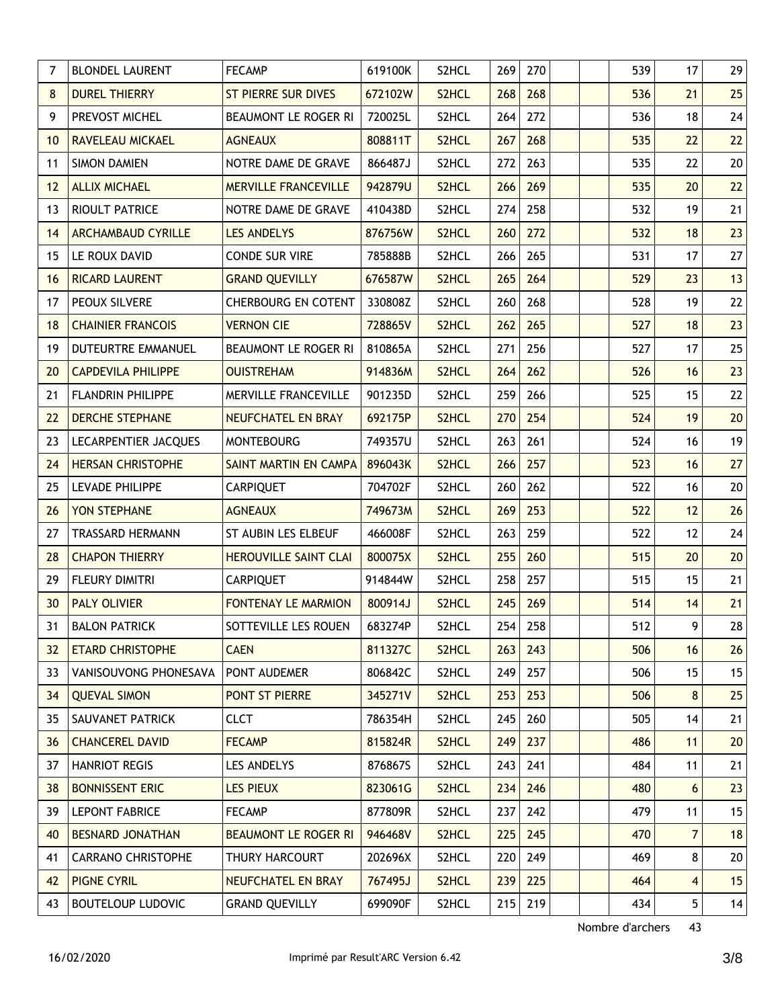| $\overline{7}$ | <b>BLONDEL LAURENT</b>    | <b>FECAMP</b>                | 619100K | S2HCL              | 269 | 270 | 539 | 17              | 29 |
|----------------|---------------------------|------------------------------|---------|--------------------|-----|-----|-----|-----------------|----|
| 8              | <b>DUREL THIERRY</b>      | <b>ST PIERRE SUR DIVES</b>   | 672102W | S2HCL              | 268 | 268 | 536 | 21              | 25 |
| 9              | PREVOST MICHEL            | BEAUMONT LE ROGER RI         | 720025L | S2HCL              | 264 | 272 | 536 | 18              | 24 |
| 10             | RAVELEAU MICKAEL          | <b>AGNEAUX</b>               | 808811T | S2HCL              | 267 | 268 | 535 | 22              | 22 |
| 11             | <b>SIMON DAMIEN</b>       | NOTRE DAME DE GRAVE          | 866487J | S2HCL              | 272 | 263 | 535 | 22              | 20 |
| 12             | <b>ALLIX MICHAEL</b>      | <b>MERVILLE FRANCEVILLE</b>  | 942879U | S2HCL              | 266 | 269 | 535 | 20              | 22 |
| 13             | RIOULT PATRICE            | NOTRE DAME DE GRAVE          | 410438D | S2HCL              | 274 | 258 | 532 | 19              | 21 |
| 14             | <b>ARCHAMBAUD CYRILLE</b> | <b>LES ANDELYS</b>           | 876756W | S2HCL              | 260 | 272 | 532 | 18              | 23 |
| 15             | LE ROUX DAVID             | <b>CONDE SUR VIRE</b>        | 785888B | S2HCL              | 266 | 265 | 531 | 17              | 27 |
| 16             | <b>RICARD LAURENT</b>     | <b>GRAND QUEVILLY</b>        | 676587W | S2HCL              | 265 | 264 | 529 | 23              | 13 |
| 17             | PEOUX SILVERE             | <b>CHERBOURG EN COTENT</b>   | 330808Z | S2HCL              | 260 | 268 | 528 | 19              | 22 |
| 18             | <b>CHAINIER FRANCOIS</b>  | <b>VERNON CIE</b>            | 728865V | S2HCL              | 262 | 265 | 527 | 18              | 23 |
| 19             | DUTEURTRE EMMANUEL        | BEAUMONT LE ROGER RI         | 810865A | S2HCL              | 271 | 256 | 527 | 17              | 25 |
| 20             | <b>CAPDEVILA PHILIPPE</b> | <b>OUISTREHAM</b>            | 914836M | S2HCL              | 264 | 262 | 526 | 16              | 23 |
| 21             | FLANDRIN PHILIPPE         | MERVILLE FRANCEVILLE         | 901235D | S2HCL              | 259 | 266 | 525 | 15              | 22 |
| 22             | <b>DERCHE STEPHANE</b>    | <b>NEUFCHATEL EN BRAY</b>    | 692175P | S2HCL              | 270 | 254 | 524 | 19              | 20 |
| 23             | LECARPENTIER JACQUES      | <b>MONTEBOURG</b>            | 749357U | S2HCL              | 263 | 261 | 524 | 16              | 19 |
| 24             | <b>HERSAN CHRISTOPHE</b>  | SAINT MARTIN EN CAMPA        | 896043K | S2HCL              | 266 | 257 | 523 | 16              | 27 |
| 25             | LEVADE PHILIPPE           | <b>CARPIQUET</b>             | 704702F | S2HCL              | 260 | 262 | 522 | 16              | 20 |
| 26             | YON STEPHANE              | <b>AGNEAUX</b>               | 749673M | S2HCL              | 269 | 253 | 522 | 12              | 26 |
| 27             | <b>TRASSARD HERMANN</b>   | ST AUBIN LES ELBEUF          | 466008F | S2HCL              | 263 | 259 | 522 | 12              | 24 |
| 28             | <b>CHAPON THIERRY</b>     | <b>HEROUVILLE SAINT CLAI</b> | 800075X | S2HCL              | 255 | 260 | 515 | 20              | 20 |
| 29             | <b>FLEURY DIMITRI</b>     | <b>CARPIQUET</b>             | 914844W | S2HCL              | 258 | 257 | 515 | 15              | 21 |
| 30             | <b>PALY OLIVIER</b>       | <b>FONTENAY LE MARMION</b>   | 800914J | S2HCL              | 245 | 269 | 514 | 14              | 21 |
| 31             | <b>BALON PATRICK</b>      | SOTTEVILLE LES ROUEN         | 683274P | S2HCL              | 254 | 258 | 512 | 9               | 28 |
| 32             | <b>ETARD CHRISTOPHE</b>   | <b>CAEN</b>                  | 811327C | <b>S2HCL</b>       | 263 | 243 | 506 | 16              | 26 |
| 33             | VANISOUVONG PHONESAVA     | PONT AUDEMER                 | 806842C | S2HCL              | 249 | 257 | 506 | 15              | 15 |
| 34             | <b>OUEVAL SIMON</b>       | PONT ST PIERRE               | 345271V | S2HCL              | 253 | 253 | 506 | 8               | 25 |
| 35             | SAUVANET PATRICK          | <b>CLCT</b>                  | 786354H | S2HCL              | 245 | 260 | 505 | 14              | 21 |
| 36             | <b>CHANCEREL DAVID</b>    | <b>FECAMP</b>                | 815824R | S2HCL              | 249 | 237 | 486 | 11              | 20 |
| 37             | <b>HANRIOT REGIS</b>      | LES ANDELYS                  | 876867S | S2HCL              | 243 | 241 | 484 | 11              | 21 |
| 38             | <b>BONNISSENT ERIC</b>    | <b>LES PIEUX</b>             | 823061G | S2HCL              | 234 | 246 | 480 | 6               | 23 |
| 39             | <b>LEPONT FABRICE</b>     | <b>FECAMP</b>                | 877809R | S2HCL              | 237 | 242 | 479 | 11              | 15 |
| 40             | <b>BESNARD JONATHAN</b>   | <b>BEAUMONT LE ROGER RI</b>  | 946468V | S2HCL              | 225 | 245 | 470 | $\overline{7}$  | 18 |
| 41             | <b>CARRANO CHRISTOPHE</b> | THURY HARCOURT               | 202696X | S2HCL              | 220 | 249 | 469 | 8               | 20 |
| 42             | <b>PIGNE CYRIL</b>        | NEUFCHATEL EN BRAY           | 767495J | S <sub>2</sub> HCL | 239 | 225 | 464 | 4               | 15 |
| 43             | <b>BOUTELOUP LUDOVIC</b>  | <b>GRAND QUEVILLY</b>        | 699090F | S2HCL              | 215 | 219 | 434 | $5\phantom{.0}$ | 14 |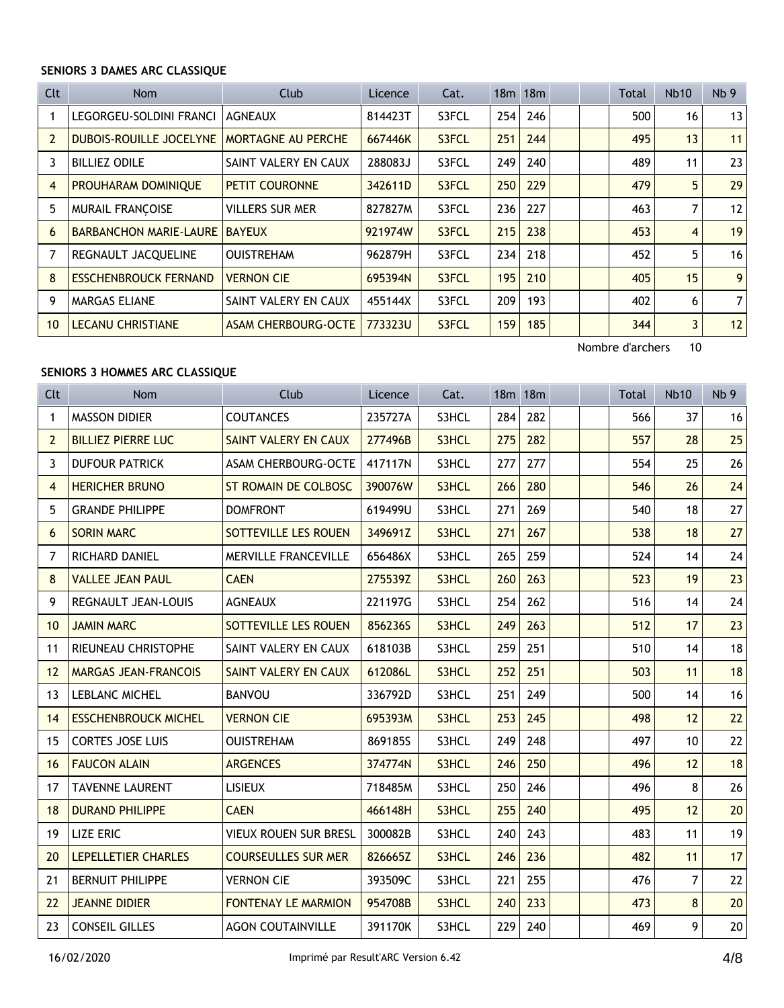### **SENIORS 3 DAMES ARC CLASSIQUE**

| Clt            | Nom                          | Club                      | Licence | Cat.  |     | 18 <sub>m</sub> 18 <sub>m</sub> |  | Total | <b>Nb10</b>    | Nb <sub>9</sub> |
|----------------|------------------------------|---------------------------|---------|-------|-----|---------------------------------|--|-------|----------------|-----------------|
| 1              | LEGORGEU-SOLDINI FRANCI      | <b>AGNEAUX</b>            | 814423T | S3FCL | 254 | 246                             |  | 500   | 16             | 13              |
| $\overline{2}$ | DUBOIS-ROUILLE JOCELYNE      | <b>MORTAGNE AU PERCHE</b> | 667446K | S3FCL | 251 | 244                             |  | 495   | 13             | 11              |
| 3              | <b>BILLIEZ ODILE</b>         | SAINT VALERY EN CAUX      | 288083J | S3FCL | 249 | 240                             |  | 489   | 11             | 23              |
| $\overline{4}$ | PROUHARAM DOMINIQUE          | <b>PETIT COURONNE</b>     | 342611D | S3FCL | 250 | 229                             |  | 479   | 5              | 29              |
| 5              | <b>MURAIL FRANÇOISE</b>      | <b>VILLERS SUR MER</b>    | 827827M | S3FCL | 236 | 227                             |  | 463   | 7              | 12              |
| 6              | BARBANCHON MARIE-LAURE       | <b>BAYEUX</b>             | 921974W | S3FCL | 215 | 238                             |  | 453   | 4              | 19              |
| $\overline{7}$ | REGNAULT JACQUELINE          | <b>OUISTREHAM</b>         | 962879H | S3FCL | 234 | 218                             |  | 452   | 5              | 16              |
| 8              | <b>ESSCHENBROUCK FERNAND</b> | <b>VERNON CIE</b>         | 695394N | S3FCL | 195 | 210                             |  | 405   | 15             | 9               |
| 9              | <b>MARGAS ELIANE</b>         | SAINT VALERY EN CAUX      | 455144X | S3FCL | 209 | 193                             |  | 402   | 6              | 7               |
| 10             | <b>LECANU CHRISTIANE</b>     | ASAM CHERBOURG-OCTE       | 773323U | S3FCL | 159 | 185                             |  | 344   | $\overline{3}$ | 12              |

Nombre d'archers 10

#### **SENIORS 3 HOMMES ARC CLASSIQUE**

| Clt            | <b>Nom</b>                  | Club                         | Licence | Cat.  |     | 18m 18m | Total | <b>Nb10</b> | Nb <sub>9</sub> |
|----------------|-----------------------------|------------------------------|---------|-------|-----|---------|-------|-------------|-----------------|
| $\mathbf{1}$   | <b>MASSON DIDIER</b>        | <b>COUTANCES</b>             | 235727A | S3HCL | 284 | 282     | 566   | 37          | 16              |
| $\overline{2}$ | <b>BILLIEZ PIERRE LUC</b>   | <b>SAINT VALERY EN CAUX</b>  | 277496B | S3HCL | 275 | 282     | 557   | 28          | 25              |
| 3              | <b>DUFOUR PATRICK</b>       | <b>ASAM CHERBOURG-OCTE</b>   | 417117N | S3HCL | 277 | 277     | 554   | 25          | 26              |
| $\overline{4}$ | <b>HERICHER BRUNO</b>       | <b>ST ROMAIN DE COLBOSC</b>  | 390076W | S3HCL | 266 | 280     | 546   | 26          | 24              |
| 5              | <b>GRANDE PHILIPPE</b>      | <b>DOMFRONT</b>              | 619499U | S3HCL | 271 | 269     | 540   | 18          | 27              |
| 6              | <b>SORIN MARC</b>           | SOTTEVILLE LES ROUEN         | 349691Z | S3HCL | 271 | 267     | 538   | 18          | 27              |
| 7              | RICHARD DANIEL              | <b>MERVILLE FRANCEVILLE</b>  | 656486X | S3HCL | 265 | 259     | 524   | 14          | 24              |
| 8              | <b>VALLEE JEAN PAUL</b>     | <b>CAEN</b>                  | 275539Z | S3HCL | 260 | 263     | 523   | 19          | 23              |
| 9              | REGNAULT JEAN-LOUIS         | <b>AGNEAUX</b>               | 221197G | S3HCL | 254 | 262     | 516   | 14          | 24              |
| 10             | <b>JAMIN MARC</b>           | SOTTEVILLE LES ROUEN         | 856236S | S3HCL | 249 | 263     | 512   | 17          | 23              |
| 11             | RIEUNEAU CHRISTOPHE         | SAINT VALERY EN CAUX         | 618103B | S3HCL | 259 | 251     | 510   | 14          | 18              |
| 12             | <b>MARGAS JEAN-FRANCOIS</b> | SAINT VALERY EN CAUX         | 612086L | S3HCL | 252 | 251     | 503   | 11          | 18              |
| 13             | <b>LEBLANC MICHEL</b>       | <b>BANVOU</b>                | 336792D | S3HCL | 251 | 249     | 500   | 14          | 16              |
| 14             | <b>ESSCHENBROUCK MICHEL</b> | <b>VERNON CIE</b>            | 695393M | S3HCL | 253 | 245     | 498   | 12          | 22              |
| 15             | <b>CORTES JOSE LUIS</b>     | <b>OUISTREHAM</b>            | 869185S | S3HCL | 249 | 248     | 497   | 10          | 22              |
| 16             | <b>FAUCON ALAIN</b>         | <b>ARGENCES</b>              | 374774N | S3HCL | 246 | 250     | 496   | 12          | 18              |
| 17             | <b>TAVENNE LAURENT</b>      | <b>LISIEUX</b>               | 718485M | S3HCL | 250 | 246     | 496   | 8           | 26              |
| 18             | <b>DURAND PHILIPPE</b>      | <b>CAEN</b>                  | 466148H | S3HCL | 255 | 240     | 495   | 12          | 20              |
| 19             | <b>LIZE ERIC</b>            | <b>VIEUX ROUEN SUR BRESL</b> | 300082B | S3HCL | 240 | 243     | 483   | 11          | 19              |
| 20             | <b>LEPELLETIER CHARLES</b>  | <b>COURSEULLES SUR MER</b>   | 826665Z | S3HCL | 246 | 236     | 482   | 11          | 17              |
| 21             | <b>BERNUIT PHILIPPE</b>     | <b>VERNON CIE</b>            | 393509C | S3HCL | 221 | 255     | 476   | 7           | 22              |
| 22             | <b>JEANNE DIDIER</b>        | <b>FONTENAY LE MARMION</b>   | 954708B | S3HCL | 240 | 233     | 473   | 8           | 20              |
| 23             | <b>CONSEIL GILLES</b>       | <b>AGON COUTAINVILLE</b>     | 391170K | S3HCL | 229 | 240     | 469   | 9           | 20              |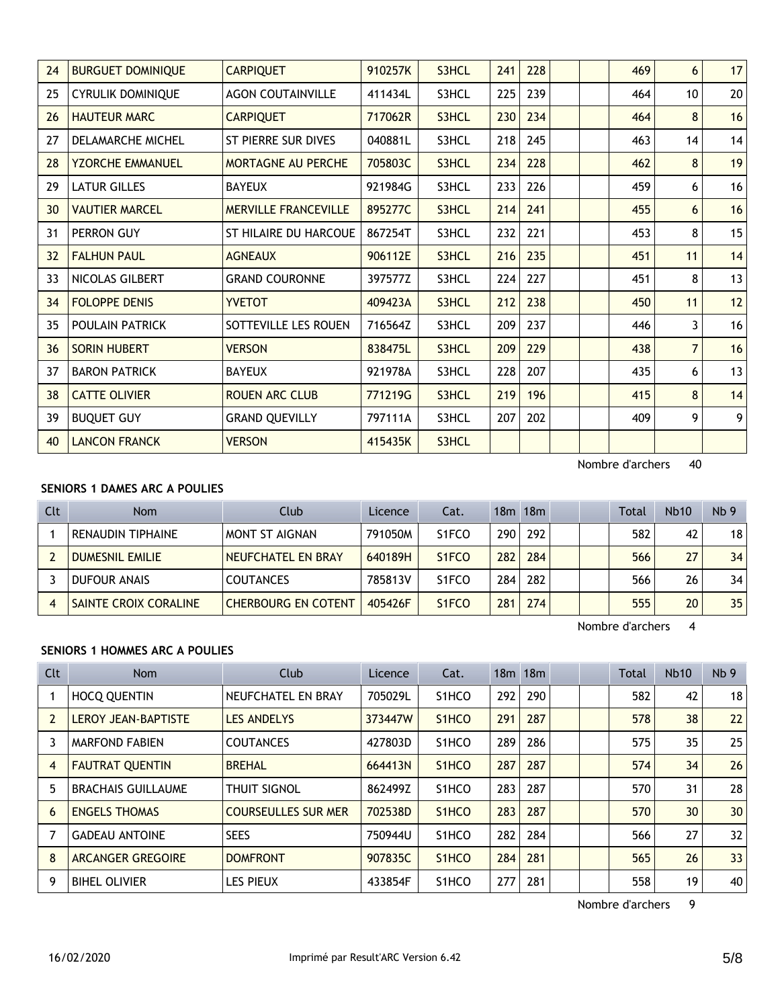| 24 | <b>BURGUET DOMINIQUE</b> | <b>CARPIQUET</b>             | 910257K | S3HCL | 241 | 228 |  | 469 | 6               | 17 |
|----|--------------------------|------------------------------|---------|-------|-----|-----|--|-----|-----------------|----|
| 25 | <b>CYRULIK DOMINIQUE</b> | <b>AGON COUTAINVILLE</b>     | 411434L | S3HCL | 225 | 239 |  | 464 | 10 <sup>°</sup> | 20 |
| 26 | <b>HAUTEUR MARC</b>      | <b>CARPIQUET</b>             | 717062R | S3HCL | 230 | 234 |  | 464 | 8               | 16 |
| 27 | <b>DELAMARCHE MICHEL</b> | ST PIERRE SUR DIVES          | 040881L | S3HCL | 218 | 245 |  | 463 | 14              | 14 |
| 28 | <b>YZORCHE EMMANUEL</b>  | <b>MORTAGNE AU PERCHE</b>    | 705803C | S3HCL | 234 | 228 |  | 462 | 8               | 19 |
| 29 | <b>LATUR GILLES</b>      | <b>BAYEUX</b>                | 921984G | S3HCL | 233 | 226 |  | 459 | 6               | 16 |
| 30 | <b>VAUTIER MARCEL</b>    | <b>MERVILLE FRANCEVILLE</b>  | 895277C | S3HCL | 214 | 241 |  | 455 | 6               | 16 |
| 31 | PERRON GUY               | <b>ST HILAIRE DU HARCOUE</b> | 867254T | S3HCL | 232 | 221 |  | 453 | 8               | 15 |
| 32 | <b>FALHUN PAUL</b>       | <b>AGNEAUX</b>               | 906112E | S3HCL | 216 | 235 |  | 451 | 11              | 14 |
| 33 | NICOLAS GILBERT          | <b>GRAND COURONNE</b>        | 397577Z | S3HCL | 224 | 227 |  | 451 | 8               | 13 |
| 34 | <b>FOLOPPE DENIS</b>     | <b>YVETOT</b>                | 409423A | S3HCL | 212 | 238 |  | 450 | 11              | 12 |
| 35 | POULAIN PATRICK          | SOTTEVILLE LES ROUEN         | 716564Z | S3HCL | 209 | 237 |  | 446 | 3               | 16 |
| 36 | <b>SORIN HUBERT</b>      | <b>VERSON</b>                | 838475L | S3HCL | 209 | 229 |  | 438 | $\overline{7}$  | 16 |
| 37 | <b>BARON PATRICK</b>     | <b>BAYEUX</b>                | 921978A | S3HCL | 228 | 207 |  | 435 | 6               | 13 |
| 38 | <b>CATTE OLIVIER</b>     | <b>ROUEN ARC CLUB</b>        | 771219G | S3HCL | 219 | 196 |  | 415 | 8               | 14 |
| 39 | <b>BUQUET GUY</b>        | <b>GRAND QUEVILLY</b>        | 797111A | S3HCL | 207 | 202 |  | 409 | 9               | 9  |
| 40 | <b>LANCON FRANCK</b>     | <b>VERSON</b>                | 415435K | S3HCL |     |     |  |     |                 |    |

### **SENIORS 1 DAMES ARC A POULIES**

| Clt | <b>Nom</b>                   | Club                       | Licence | Cat.                           |     | $18m$ 18 $m$ |  | <b>Total</b> | <b>Nb10</b> | Nb <sub>9</sub> |
|-----|------------------------------|----------------------------|---------|--------------------------------|-----|--------------|--|--------------|-------------|-----------------|
|     | <b>RENAUDIN TIPHAINE</b>     | MONT ST AIGNAN             | 791050M | S <sub>1</sub> FCO             | 290 | 292          |  | 582          | 42          | 18              |
|     | <b>DUMESNIL EMILIE</b>       | NEUFCHATEL EN BRAY         | 640189H | S <sub>1</sub> F <sub>CO</sub> | 282 | 284          |  | 566          | 27          | 34              |
|     | <b>DUFOUR ANAIS</b>          | <b>COUTANCES</b>           | 785813V | S <sub>1</sub> FCO             | 284 | 282          |  | 566          | 26          | 34              |
|     | <b>SAINTE CROIX CORALINE</b> | <b>CHERBOURG EN COTENT</b> | 405426F | S <sub>1</sub> FCO             | 281 | 274          |  | 555          | 20          | 35              |

Nombre d'archers 4

### **SENIORS 1 HOMMES ARC A POULIES**

| Clt            | <b>Nom</b>                 | Club                       | Licence | Cat.                           |     | $18m$ 18 $m$ |  | <b>Total</b> | <b>Nb10</b>     | Nb <sub>9</sub> |
|----------------|----------------------------|----------------------------|---------|--------------------------------|-----|--------------|--|--------------|-----------------|-----------------|
|                | <b>HOCQ QUENTIN</b>        | NEUFCHATEL EN BRAY         | 705029L | S <sub>1</sub> HCO             | 292 | 290          |  | 582          | 42              | 18              |
| $\overline{2}$ | <b>LEROY JEAN-BAPTISTE</b> | <b>LES ANDELYS</b>         | 373447W | S <sub>1</sub> HCO             | 291 | 287          |  | 578          | 38              | 22              |
| 3              | <b>MARFOND FABIEN</b>      | <b>COUTANCES</b>           | 427803D | S <sub>1</sub> HCO             | 289 | 286          |  | 575          | 35              | 25              |
| 4              | <b>FAUTRAT QUENTIN</b>     | <b>BREHAL</b>              | 664413N | S <sub>1</sub> HC <sub>O</sub> | 287 | 287          |  | 574          | 34              | 26              |
| 5              | <b>BRACHAIS GUILLAUME</b>  | <b>THUIT SIGNOL</b>        | 862499Z | S <sub>1</sub> HCO             | 283 | 287          |  | 570          | 31              | 28              |
| 6              | <b>ENGELS THOMAS</b>       | <b>COURSEULLES SUR MER</b> | 702538D | S <sub>1</sub> HCO             | 283 | 287          |  | 570          | 30 <sup>°</sup> | 30              |
|                | <b>GADEAU ANTOINE</b>      | <b>SEES</b>                | 750944U | S <sub>1</sub> HCO             | 282 | 284          |  | 566          | 27              | 32              |
| 8              | <b>ARCANGER GREGOIRE</b>   | <b>DOMFRONT</b>            | 907835C | S <sub>1</sub> HC <sub>O</sub> | 284 | 281          |  | 565          | 26              | 33              |
| 9              | <b>BIHEL OLIVIER</b>       | les Pieux                  | 433854F | S <sub>1</sub> HCO             | 277 | 281          |  | 558          | 19              | 40              |

Nombre d'archers 9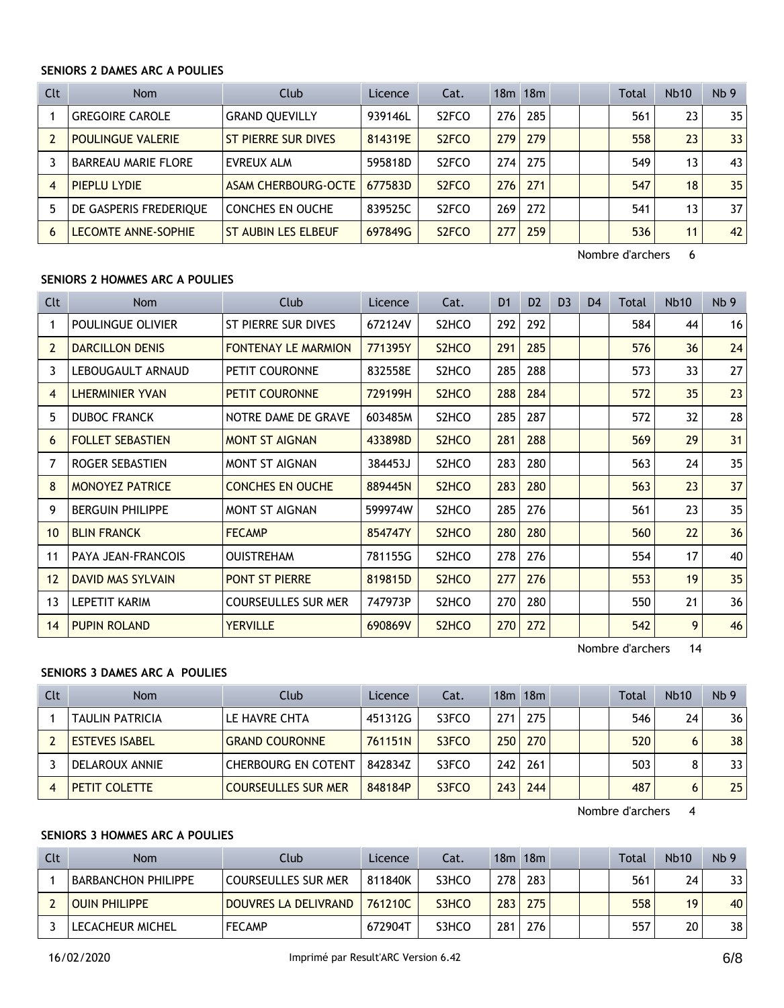#### **SENIORS 2 DAMES ARC A POULIES**

| Clt            | <b>Nom</b>                 | Club                    | Licence | Cat.               |     | 18m 18m |  | Total | <b>Nb10</b> | Nb <sub>9</sub> |
|----------------|----------------------------|-------------------------|---------|--------------------|-----|---------|--|-------|-------------|-----------------|
|                | <b>GREGOIRE CAROLE</b>     | <b>GRAND QUEVILLY</b>   | 939146L | S <sub>2</sub> FCO | 276 | 285     |  | 561   | 23          | 35              |
|                | <b>POULINGUE VALERIE</b>   | ST PIERRE SUR DIVES     | 814319E | S <sub>2</sub> FCO | 279 | 279     |  | 558   | 23          | 33              |
|                | <b>BARREAU MARIE FLORE</b> | EVREUX ALM              | 595818D | S <sub>2</sub> FCO | 274 | 275     |  | 549   | 13          | 43              |
| $\overline{4}$ | PIEPLU LYDIE               | ASAM CHERBOURG-OCTE     | 677583D | S <sub>2</sub> FCO | 276 | 271     |  | 547   | 18          | 35              |
| 5              | DE GASPERIS FREDERIQUE     | <b>CONCHES EN OUCHE</b> | 839525C | S <sub>2</sub> FCO | 269 | 272     |  | 541   | 13          | 37              |
| 6              | <b>LECOMTE ANNE-SOPHIE</b> | ST AUBIN LES ELBEUF     | 697849G | S <sub>2</sub> FCO | 277 | 259     |  | 536   | 11          | 42              |

Nombre d'archers 6

#### **SENIORS 2 HOMMES ARC A POULIES**

| Clt            | Nom                       | Club                       | Licence | Cat.                           | D <sub>1</sub> | D <sub>2</sub> | D <sub>3</sub> | D <sub>4</sub> | Total | <b>Nb10</b> | Nb <sub>9</sub> |
|----------------|---------------------------|----------------------------|---------|--------------------------------|----------------|----------------|----------------|----------------|-------|-------------|-----------------|
|                | POULINGUE OLIVIER         | ST PIERRE SUR DIVES        | 672124V | S2HCO                          | 292            | 292            |                |                | 584   | 44          | 16              |
| $\overline{2}$ | <b>DARCILLON DENIS</b>    | <b>FONTENAY LE MARMION</b> | 771395Y | S <sub>2</sub> HC <sub>O</sub> | 291            | 285            |                |                | 576   | 36          | 24              |
| 3              | LEBOUGAULT ARNAUD         | PETIT COURONNE             | 832558E | S2HCO                          | 285            | 288            |                |                | 573   | 33          | 27              |
| 4              | <b>LHERMINIER YVAN</b>    | <b>PETIT COURONNE</b>      | 729199H | S <sub>2</sub> H <sub>CO</sub> | 288            | 284            |                |                | 572   | 35          | 23              |
| 5              | <b>DUBOC FRANCK</b>       | NOTRE DAME DE GRAVE        | 603485M | S2HCO                          | 285            | 287            |                |                | 572   | 32          | 28              |
| 6              | <b>FOLLET SEBASTIEN</b>   | <b>MONT ST AIGNAN</b>      | 433898D | S <sub>2</sub> HC <sub>O</sub> | 281            | 288            |                |                | 569   | 29          | 31              |
| 7              | ROGER SEBASTIEN           | <b>MONT ST AIGNAN</b>      | 384453J | S2HCO                          | 283            | 280            |                |                | 563   | 24          | 35              |
| 8              | <b>MONOYEZ PATRICE</b>    | <b>CONCHES EN OUCHE</b>    | 889445N | S <sub>2</sub> HCO             | 283            | 280            |                |                | 563   | 23          | 37              |
| 9              | <b>BERGUIN PHILIPPE</b>   | MONT ST AIGNAN             | 599974W | S <sub>2</sub> HC <sub>O</sub> | 285            | 276            |                |                | 561   | 23          | 35              |
| 10             | <b>BLIN FRANCK</b>        | <b>FECAMP</b>              | 854747Y | S <sub>2</sub> H <sub>CO</sub> | 280            | 280            |                |                | 560   | 22          | 36              |
| 11             | <b>PAYA JEAN-FRANCOIS</b> | <b>OUISTREHAM</b>          | 781155G | S2HCO                          | 278            | 276            |                |                | 554   | 17          | 40              |
| 12             | DAVID MAS SYLVAIN         | <b>PONT ST PIERRE</b>      | 819815D | S <sub>2</sub> H <sub>CO</sub> | 277            | 276            |                |                | 553   | 19          | 35              |
| 13             | <b>LEPETIT KARIM</b>      | <b>COURSEULLES SUR MER</b> | 747973P | S <sub>2</sub> HC <sub>O</sub> | 270            | 280            |                |                | 550   | 21          | 36              |
| 14             | <b>PUPIN ROLAND</b>       | <b>YERVILLE</b>            | 690869V | S <sub>2</sub> HC <sub>O</sub> | 270            | 272            |                |                | 542   | 9           | 46              |

Nombre d'archers 14

#### **SENIORS 3 DAMES ARC A POULIES**

| Clt | <b>Nom</b>             | Club                       | Licence | Cat.  |                  | 18m 18m |  | Total | <b>Nb10</b> | Nb <sub>9</sub> |
|-----|------------------------|----------------------------|---------|-------|------------------|---------|--|-------|-------------|-----------------|
|     | <b>TAULIN PATRICIA</b> | LE HAVRE CHTA              | 451312G | S3FCO | 271              | 275     |  | 546   | 24          | 36              |
|     | <b>ESTEVES ISABEL</b>  | <b>GRAND COURONNE</b>      | 761151N | S3FCO | 250 <sub>1</sub> | 270     |  | 520   |             | 38              |
|     | DELAROUX ANNIE         | <b>CHERBOURG EN COTENT</b> | 842834Z | S3FCO | 242              | 261     |  | 503   |             | 33              |
|     | PETIT COLETTE          | <b>COURSEULLES SUR MER</b> | 848184P | S3FCO | 243.             | 244     |  | 487   | 6           | 25              |

Nombre d'archers 4

#### **SENIORS 3 HOMMES ARC A POULIES**

| Clt | Nom                        | Club                 | Licence    | Cat.  |     | $18m$ 18 $m$ |  | Total | <b>Nb10</b> | Nb <sub>9</sub> |
|-----|----------------------------|----------------------|------------|-------|-----|--------------|--|-------|-------------|-----------------|
|     | <b>BARBANCHON PHILIPPE</b> | COURSEULLES SUR MER  | 811840K    | S3HCO | 278 | 283          |  | 561   | 24          | 33 <sub>1</sub> |
|     | <b>OUIN PHILIPPE</b>       | DOUVRES LA DELIVRAND | 761210C    | S3HCO | 283 | 275          |  | 558   | 19          | 40              |
|     | LECACHEUR MICHEL           | <b>FECAMP</b>        | $672904$ T | S3HCO | 281 | 276          |  | 557   | 20          | 38              |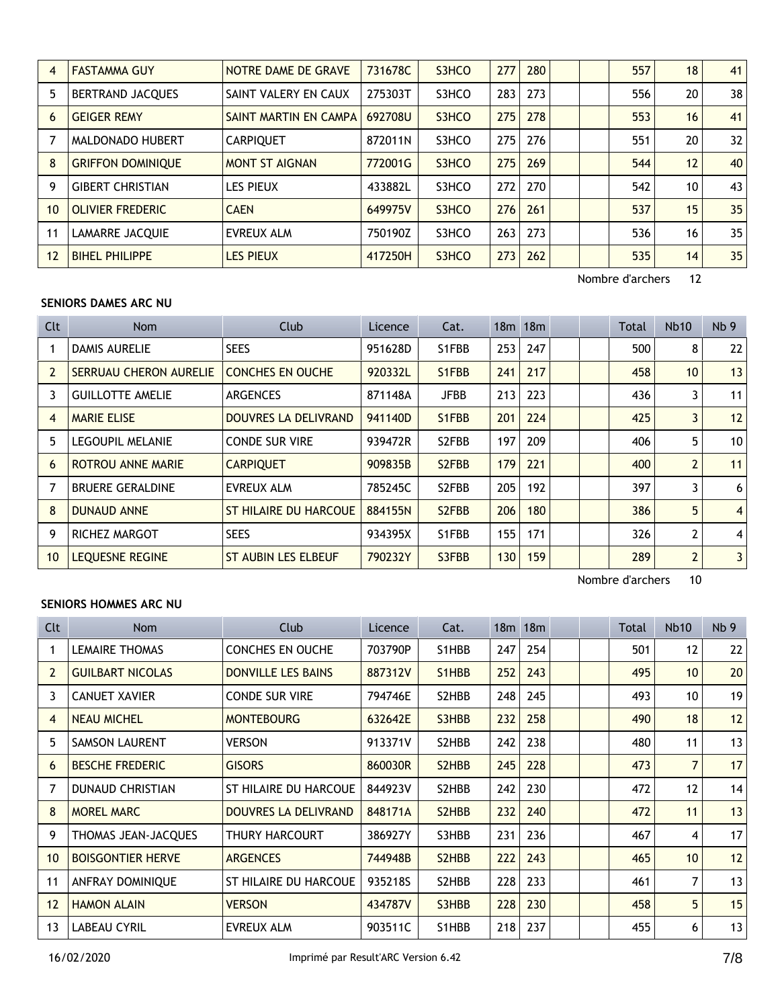| 4  | <b>FASTAMMA GUY</b>      | NOTRE DAME DE GRAVE   | 731678C | S3HCO | 277 | 280 |  | 557 | 18 | 41              |
|----|--------------------------|-----------------------|---------|-------|-----|-----|--|-----|----|-----------------|
| 5  | <b>BERTRAND JACOUES</b>  | SAINT VALERY EN CAUX  | 275303T | S3HCO | 283 | 273 |  | 556 | 20 | 38              |
| 6  | <b>GEIGER REMY</b>       | SAINT MARTIN EN CAMPA | 692708U | S3HCO | 275 | 278 |  | 553 | 16 | 41              |
|    | MALDONADO HUBERT         | <b>CARPIQUET</b>      | 872011N | S3HCO | 275 | 276 |  | 551 | 20 | 32 <sup>2</sup> |
| 8  | <b>GRIFFON DOMINIOUE</b> | <b>MONT ST AIGNAN</b> | 772001G | S3HCO | 275 | 269 |  | 544 | 12 | 40              |
| 9  | <b>GIBERT CHRISTIAN</b>  | <b>LES PIEUX</b>      | 433882L | S3HCO | 272 | 270 |  | 542 | 10 | 43              |
| 10 | <b>OLIVIER FREDERIC</b>  | <b>CAEN</b>           | 649975V | S3HCO | 276 | 261 |  | 537 | 15 | 35              |
| 11 | <b>LAMARRE JACQUIE</b>   | <b>EVREUX ALM</b>     | 750190Z | S3HCO | 263 | 273 |  | 536 | 16 | 35              |
| 12 | <b>BIHEL PHILIPPE</b>    | <b>LES PIEUX</b>      | 417250H | S3HCO | 273 | 262 |  | 535 | 14 | 35              |

#### **SENIORS DAMES ARC NU**

| <b>Clt</b> | Nom                      | Club                       | Licence | Cat.               |     | $18m$ 18 $m$ |  | Total | <b>Nb10</b>    | Nb <sub>9</sub> |
|------------|--------------------------|----------------------------|---------|--------------------|-----|--------------|--|-------|----------------|-----------------|
|            | DAMIS AURELIE            | <b>SEES</b>                | 951628D | S1FBB              | 253 | 247          |  | 500   | 8              | 22              |
| 2          | SERRUAU CHERON AURELIE   | <b>CONCHES EN OUCHE</b>    | 920332L | S1FBB              | 241 | 217          |  | 458   | 10             | 13              |
| 3          | <b>GUILLOTTE AMELIE</b>  | <b>ARGENCES</b>            | 871148A | <b>JFBB</b>        | 213 | 223          |  | 436   | 3              | 11              |
| 4          | <b>MARIE ELISE</b>       | DOUVRES LA DELIVRAND       | 941140D | S1FBB              | 201 | 224          |  | 425   | 3              | 12              |
| 5          | <b>LEGOUPIL MELANIE</b>  | <b>CONDE SUR VIRE</b>      | 939472R | S2FBB              | 197 | 209          |  | 406   | 5              | 10 <sup>1</sup> |
| 6          | <b>ROTROU ANNE MARIE</b> | <b>CARPIQUET</b>           | 909835B | S <sub>2</sub> FBB | 179 | 221          |  | 400   | $\overline{2}$ | 11              |
|            | <b>BRUERE GERALDINE</b>  | EVREUX ALM                 | 785245C | S <sub>2</sub> FBB | 205 | 192          |  | 397   | 3              | 6 <sup>1</sup>  |
| 8          | <b>DUNAUD ANNE</b>       | ST HILAIRE DU HARCOUE      | 884155N | S <sub>2</sub> FBB | 206 | 180          |  | 386   | 5              | $\vert$         |
| 9          | <b>RICHEZ MARGOT</b>     | <b>SEES</b>                | 934395X | S1FBB              | 155 | 171          |  | 326   | $\overline{2}$ | $\vert$         |
| 10         | LEQUESNE REGINE          | <b>ST AUBIN LES ELBEUF</b> | 790232Y | S3FBB              | 130 | 159          |  | 289   | $\overline{2}$ | 3 <sup>1</sup>  |

Nombre d'archers 10

## **SENIORS HOMMES ARC NU**

| <b>Clt</b>     | Nom                      | Club                      | Licence | Cat.                            |     | 18m 18m |  | Total | <b>Nb10</b>       | Nb <sub>9</sub> |
|----------------|--------------------------|---------------------------|---------|---------------------------------|-----|---------|--|-------|-------------------|-----------------|
|                | <b>LEMAIRE THOMAS</b>    | <b>CONCHES EN OUCHE</b>   | 703790P | S1HBB                           | 247 | 254     |  | 501   | 12                | 22              |
| $\overline{2}$ | <b>GUILBART NICOLAS</b>  | <b>DONVILLE LES BAINS</b> | 887312V | S1HBB                           | 252 | 243     |  | 495   | 10 <sup>1</sup>   | 20              |
| 3              | <b>CANUET XAVIER</b>     | <b>CONDE SUR VIRE</b>     | 794746E | S2HBB                           | 248 | 245     |  | 493   | 10 <sup>1</sup>   | 19              |
| 4              | <b>NEAU MICHEL</b>       | <b>MONTEBOURG</b>         | 632642E | S3HBB                           | 232 | 258     |  | 490   | 18                | 12              |
| 5              | <b>SAMSON LAURENT</b>    | <b>VERSON</b>             | 913371V | S2HBB                           | 242 | 238     |  | 480   | 11                | 13              |
| 6              | <b>BESCHE FREDERIC</b>   | <b>GISORS</b>             | 860030R | S <sub>2</sub> H <sub>B</sub> B | 245 | 228     |  | 473   | $\overline{7}$    | 17              |
| 7              | <b>DUNAUD CHRISTIAN</b>  | ST HILAIRE DU HARCOUE     | 844923V | S2HBB                           | 242 | 230     |  | 472   | $12 \overline{ }$ | 14              |
| 8              | <b>MOREL MARC</b>        | DOUVRES LA DELIVRAND      | 848171A | S <sub>2</sub> H <sub>B</sub> B | 232 | 240     |  | 472   | 11                | 13              |
| 9              | THOMAS JEAN-JACQUES      | THURY HARCOURT            | 386927Y | S3HBB                           | 231 | 236     |  | 467   | 4                 | 17              |
| 10             | <b>BOISGONTIER HERVE</b> | <b>ARGENCES</b>           | 744948B | S <sub>2</sub> H <sub>B</sub> B | 222 | 243     |  | 465   | 10 <sup>°</sup>   | 12              |
| 11             | ANFRAY DOMINIQUE         | ST HILAIRE DU HARCOUE     | 935218S | S2HBB                           | 228 | 233     |  | 461   | 7                 | 13              |
| 12             | <b>HAMON ALAIN</b>       | <b>VERSON</b>             | 434787V | S3HBB                           | 228 | 230     |  | 458   | 5                 | 15              |
| 13             | <b>LABEAU CYRIL</b>      | <b>EVREUX ALM</b>         | 903511C | S1HBB                           | 218 | 237     |  | 455   | 6                 | 13              |